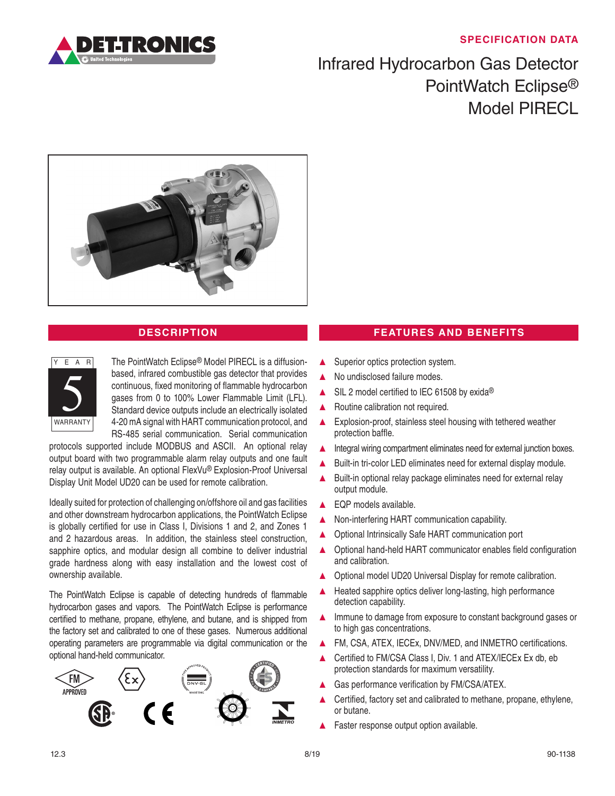## **SPECIFICATION DATA**



## Infrared Hydrocarbon Gas Detector PointWatch Eclipse® Model PIRECL





The PointWatch Eclipse® Model PIRECL is a diffusionbased, infrared combustible gas detector that provides continuous, fixed monitoring of flammable hydrocarbon gases from 0 to 100% Lower Flammable Limit (LFL). Standard device outputs include an electrically isolated 4-20 mA signal with HART communication protocol, and RS-485 serial communication. Serial communication

protocols supported include MODBUS and ASCII. An optional relay output board with two programmable alarm relay outputs and one fault relay output is available. An optional FlexVu® Explosion-Proof Universal Display Unit Model UD20 can be used for remote calibration.

Ideally suited for protection of challenging on/offshore oil and gas facilities and other downstream hydrocarbon applications, the PointWatch Eclipse is globally certified for use in Class I, Divisions 1 and 2, and Zones 1 and 2 hazardous areas. In addition, the stainless steel construction, sapphire optics, and modular design all combine to deliver industrial grade hardness along with easy installation and the lowest cost of ownership available.

The PointWatch Eclipse is capable of detecting hundreds of flammable hydrocarbon gases and vapors. The PointWatch Eclipse is performance certified to methane, propane, ethylene, and butane, and is shipped from the factory set and calibrated to one of these gases. Numerous additional operating parameters are programmable via digital communication or the optional hand-held communicator.



## **DESCRIPTION FEATURES AND BENEFITS**

- ▲ Superior optics protection system.
- No undisclosed failure modes.
- SIL 2 model certified to IEC 61508 by exida®
- ▲ Routine calibration not required.
- ▲ Explosion-proof, stainless steel housing with tethered weather protection baffle.
- Integral wiring compartment eliminates need for external junction boxes.
- Built-in tri-color LED eliminates need for external display module.
- ▲ Built-in optional relay package eliminates need for external relay output module.
- EQP models available.
- Non-interfering HART communication capability.
- ▲ Optional Intrinsically Safe HART communication port
- ▲ Optional hand-held HART communicator enables field configuration and calibration.
- ▲ Optional model UD20 Universal Display for remote calibration.
- ▲ Heated sapphire optics deliver long-lasting, high performance detection capability.
- ▲ Immune to damage from exposure to constant background gases or to high gas concentrations.
- ▲ FM, CSA, ATEX, IECEx, DNV/MED, and INMETRO certifications.
- Certified to FM/CSA Class I, Div. 1 and ATEX/IECEx Ex db, eb protection standards for maximum versatility.
- Gas performance verification by FM/CSA/ATEX.
- Certified, factory set and calibrated to methane, propane, ethylene, or butane.
- ▲ Faster response output option available.